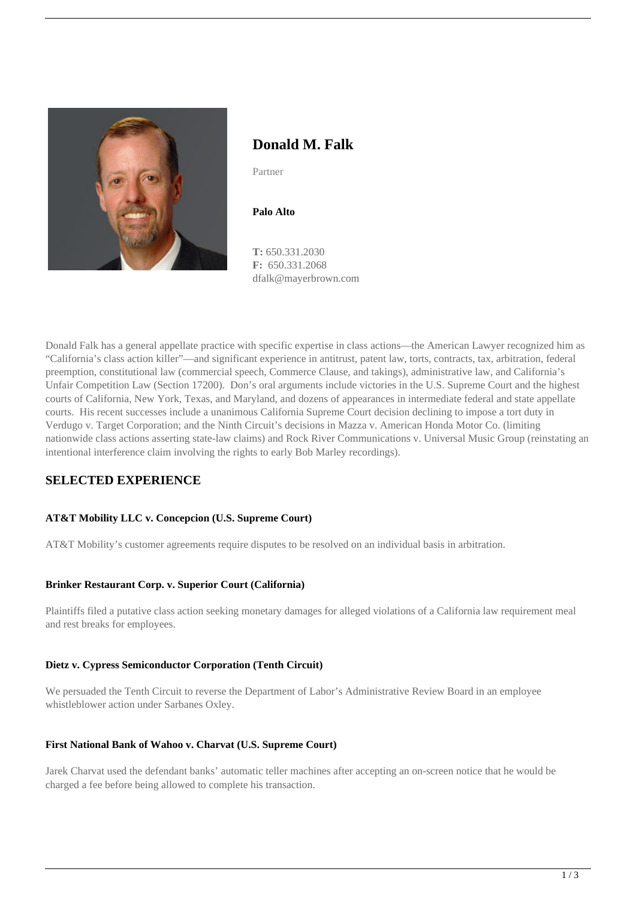

# **Donald M. Falk**

Partner

**Palo Alto**

**T:** 650.331.2030 **F:** 650.331.2068 dfalk@mayerbrown.com

Donald Falk has a general appellate practice with specific expertise in class actions—the American Lawyer recognized him as "California's class action killer"—and significant experience in antitrust, patent law, torts, contracts, tax, arbitration, federal preemption, constitutional law (commercial speech, Commerce Clause, and takings), administrative law, and California's Unfair Competition Law (Section 17200). Don's oral arguments include victories in the U.S. Supreme Court and the highest courts of California, New York, Texas, and Maryland, and dozens of appearances in intermediate federal and state appellate courts. His recent successes include a unanimous California Supreme Court decision declining to impose a tort duty in Verdugo v. Target Corporation; and the Ninth Circuit's decisions in Mazza v. American Honda Motor Co. (limiting nationwide class actions asserting state-law claims) and Rock River Communications v. Universal Music Group (reinstating an intentional interference claim involving the rights to early Bob Marley recordings).

# **SELECTED EXPERIENCE**

## **AT&T Mobility LLC v. Concepcion (U.S. Supreme Court)**

AT&T Mobility's customer agreements require disputes to be resolved on an individual basis in arbitration.

## **Brinker Restaurant Corp. v. Superior Court (California)**

Plaintiffs filed a putative class action seeking monetary damages for alleged violations of a California law requirement meal and rest breaks for employees.

## **Dietz v. Cypress Semiconductor Corporation (Tenth Circuit)**

We persuaded the Tenth Circuit to reverse the Department of Labor's Administrative Review Board in an employee whistleblower action under Sarbanes Oxley.

## **First National Bank of Wahoo v. Charvat (U.S. Supreme Court)**

Jarek Charvat used the defendant banks' automatic teller machines after accepting an on-screen notice that he would be charged a fee before being allowed to complete his transaction.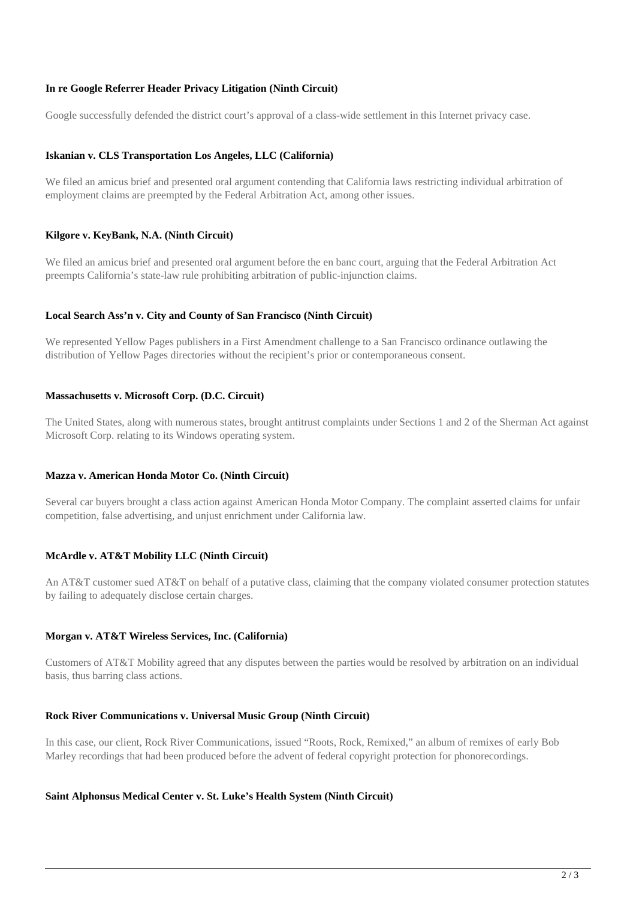## **In re Google Referrer Header Privacy Litigation (Ninth Circuit)**

Google successfully defended the district court's approval of a class-wide settlement in this Internet privacy case.

### **Iskanian v. CLS Transportation Los Angeles, LLC (California)**

We filed an amicus brief and presented oral argument contending that California laws restricting individual arbitration of employment claims are preempted by the Federal Arbitration Act, among other issues.

### **Kilgore v. KeyBank, N.A. (Ninth Circuit)**

We filed an amicus brief and presented oral argument before the en banc court, arguing that the Federal Arbitration Act preempts California's state-law rule prohibiting arbitration of public-injunction claims.

### **Local Search Ass'n v. City and County of San Francisco (Ninth Circuit)**

We represented Yellow Pages publishers in a First Amendment challenge to a San Francisco ordinance outlawing the distribution of Yellow Pages directories without the recipient's prior or contemporaneous consent.

### **Massachusetts v. Microsoft Corp. (D.C. Circuit)**

The United States, along with numerous states, brought antitrust complaints under Sections 1 and 2 of the Sherman Act against Microsoft Corp. relating to its Windows operating system.

### **Mazza v. American Honda Motor Co. (Ninth Circuit)**

Several car buyers brought a class action against American Honda Motor Company. The complaint asserted claims for unfair competition, false advertising, and unjust enrichment under California law.

### **McArdle v. AT&T Mobility LLC (Ninth Circuit)**

An AT&T customer sued AT&T on behalf of a putative class, claiming that the company violated consumer protection statutes by failing to adequately disclose certain charges.

### **Morgan v. AT&T Wireless Services, Inc. (California)**

Customers of AT&T Mobility agreed that any disputes between the parties would be resolved by arbitration on an individual basis, thus barring class actions.

#### **Rock River Communications v. Universal Music Group (Ninth Circuit)**

In this case, our client, Rock River Communications, issued "Roots, Rock, Remixed," an album of remixes of early Bob Marley recordings that had been produced before the advent of federal copyright protection for phonorecordings.

#### **Saint Alphonsus Medical Center v. St. Luke's Health System (Ninth Circuit)**